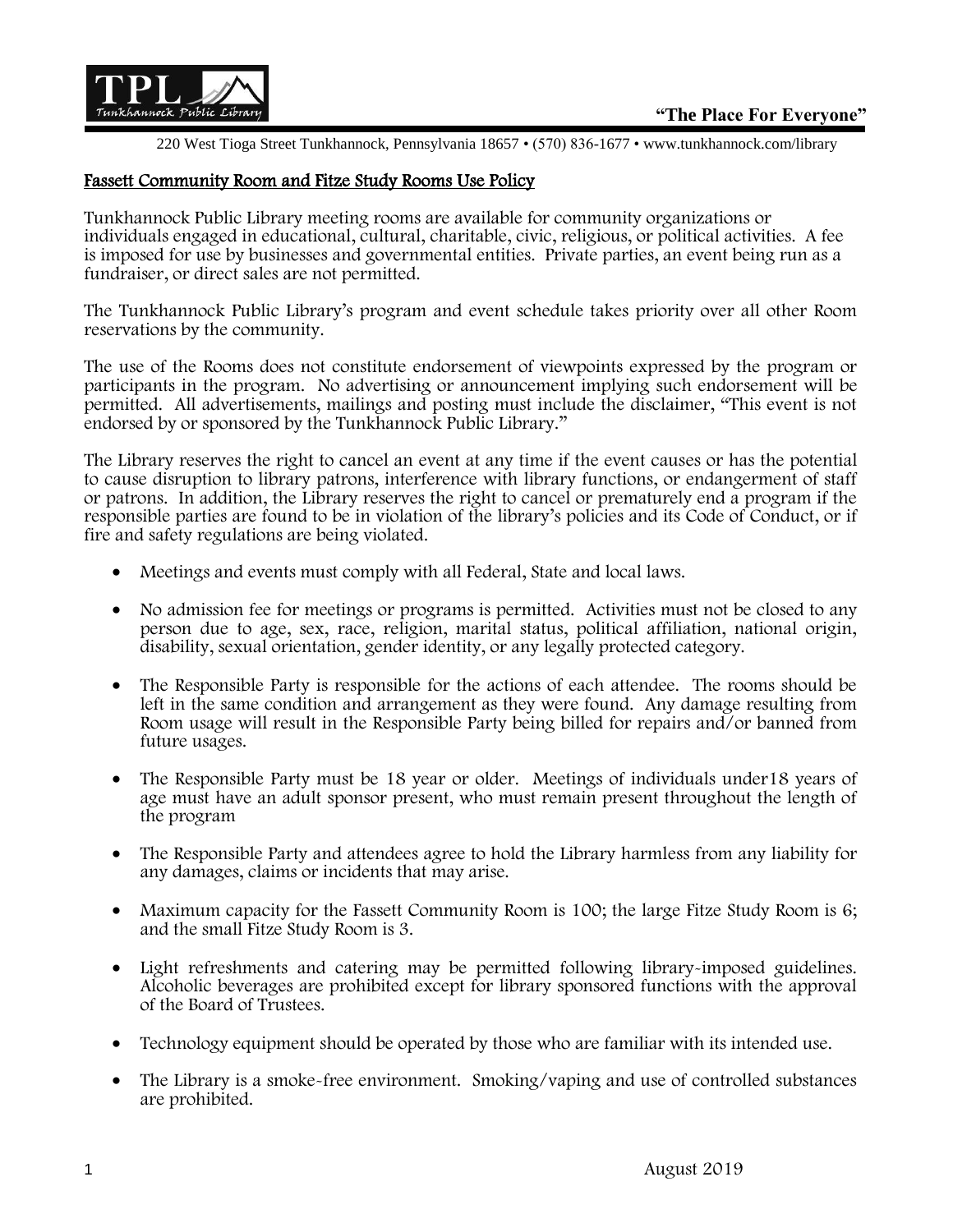

220 West Tioga Street Tunkhannock, Pennsylvania 18657 • (570) 836-1677 • www.tunkhannock.com/library

## Fassett Community Room and Fitze Study Rooms Use Policy

Tunkhannock Public Library meeting rooms are available for community organizations or individuals engaged in educational, cultural, charitable, civic, religious, or political activities. A fee is imposed for use by businesses and governmental entities. Private parties, an event being run as a fundraiser, or direct sales are not permitted.

The Tunkhannock Public Library's program and event schedule takes priority over all other Room reservations by the community.

The use of the Rooms does not constitute endorsement of viewpoints expressed by the program or participants in the program. No advertising or announcement implying such endorsement will be permitted. All advertisements, mailings and posting must include the disclaimer, "This event is not endorsed by or sponsored by the Tunkhannock Public Library."

The Library reserves the right to cancel an event at any time if the event causes or has the potential to cause disruption to library patrons, interference with library functions, or endangerment of staff or patrons. In addition, the Library reserves the right to cancel or prematurely end a program if the responsible parties are found to be in violation of the library's policies and its Code of Conduct, or if fire and safety regulations are being violated.

- Meetings and events must comply with all Federal, State and local laws.
- No admission fee for meetings or programs is permitted. Activities must not be closed to any person due to age, sex, race, religion, marital status, political affiliation, national origin, disability, sexual orientation, gender identity, or any legally protected category.
- The Responsible Party is responsible for the actions of each attendee. The rooms should be left in the same condition and arrangement as they were found. Any damage resulting from Room usage will result in the Responsible Party being billed for repairs and/or banned from future usages.
- The Responsible Party must be 18 year or older. Meetings of individuals under18 years of age must have an adult sponsor present, who must remain present throughout the length of the program
- The Responsible Party and attendees agree to hold the Library harmless from any liability for any damages, claims or incidents that may arise.
- Maximum capacity for the Fassett Community Room is 100; the large Fitze Study Room is 6; and the small Fitze Study Room is 3.
- Light refreshments and catering may be permitted following library-imposed guidelines. Alcoholic beverages are prohibited except for library sponsored functions with the approval of the Board of Trustees.
- Technology equipment should be operated by those who are familiar with its intended use.
- The Library is a smoke-free environment. Smoking/vaping and use of controlled substances are prohibited.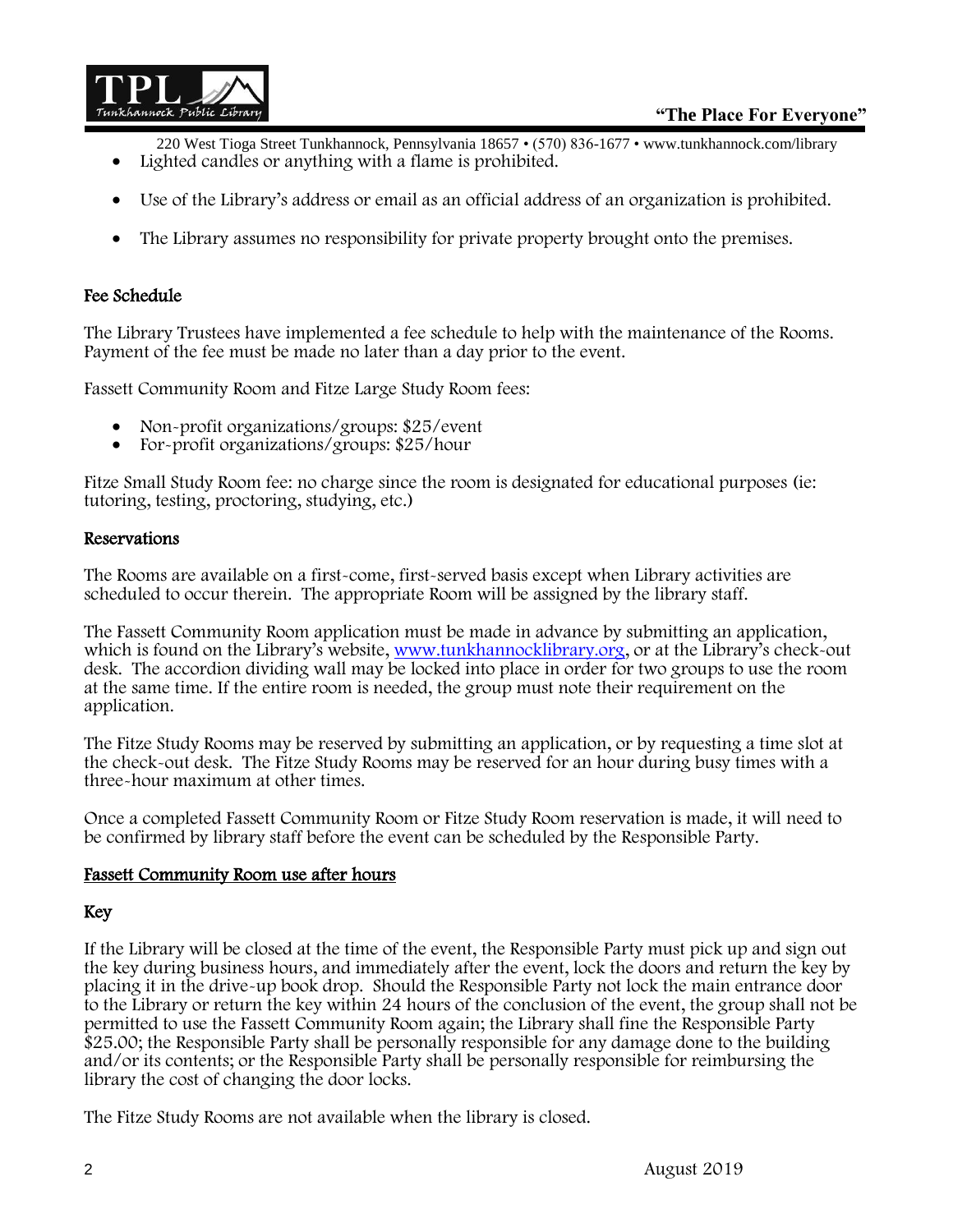

220 West Tioga Street Tunkhannock, Pennsylvania 18657 • (570) 836-1677 • www.tunkhannock.com/library

- Lighted candles or anything with a flame is prohibited.
- Use of the Library's address or email as an official address of an organization is prohibited.
- The Library assumes no responsibility for private property brought onto the premises.

# Fee Schedule

The Library Trustees have implemented a fee schedule to help with the maintenance of the Rooms. Payment of the fee must be made no later than a day prior to the event.

Fassett Community Room and Fitze Large Study Room fees:

- Non-profit organizations/groups: \$25/event
- For-profit organizations/groups: \$25/hour

Fitze Small Study Room fee: no charge since the room is designated for educational purposes (ie: tutoring, testing, proctoring, studying, etc.)

### Reservations

The Rooms are available on a first-come, first-served basis except when Library activities are scheduled to occur therein. The appropriate Room will be assigned by the library staff.

The Fassett Community Room application must be made in advance by submitting an application, which is found on the Library's website, [www.tunkhannocklibrary.org](http://www.tunkhannocklibrary.org/), or at the Library's check-out desk. The accordion dividing wall may be locked into place in order for two groups to use the room at the same time. If the entire room is needed, the group must note their requirement on the application.

The Fitze Study Rooms may be reserved by submitting an application, or by requesting a time slot at the check-out desk. The Fitze Study Rooms may be reserved for an hour during busy times with a three-hour maximum at other times.

Once a completed Fassett Community Room or Fitze Study Room reservation is made, it will need to be confirmed by library staff before the event can be scheduled by the Responsible Party.

### Fassett Community Room use after hours

# Key

If the Library will be closed at the time of the event, the Responsible Party must pick up and sign out the key during business hours, and immediately after the event, lock the doors and return the key by placing it in the drive-up book drop. Should the Responsible Party not lock the main entrance door to the Library or return the key within 24 hours of the conclusion of the event, the group shall not be permitted to use the Fassett Community Room again; the Library shall fine the Responsible Party \$25.00; the Responsible Party shall be personally responsible for any damage done to the building and/or its contents; or the Responsible Party shall be personally responsible for reimbursing the library the cost of changing the door locks.

The Fitze Study Rooms are not available when the library is closed.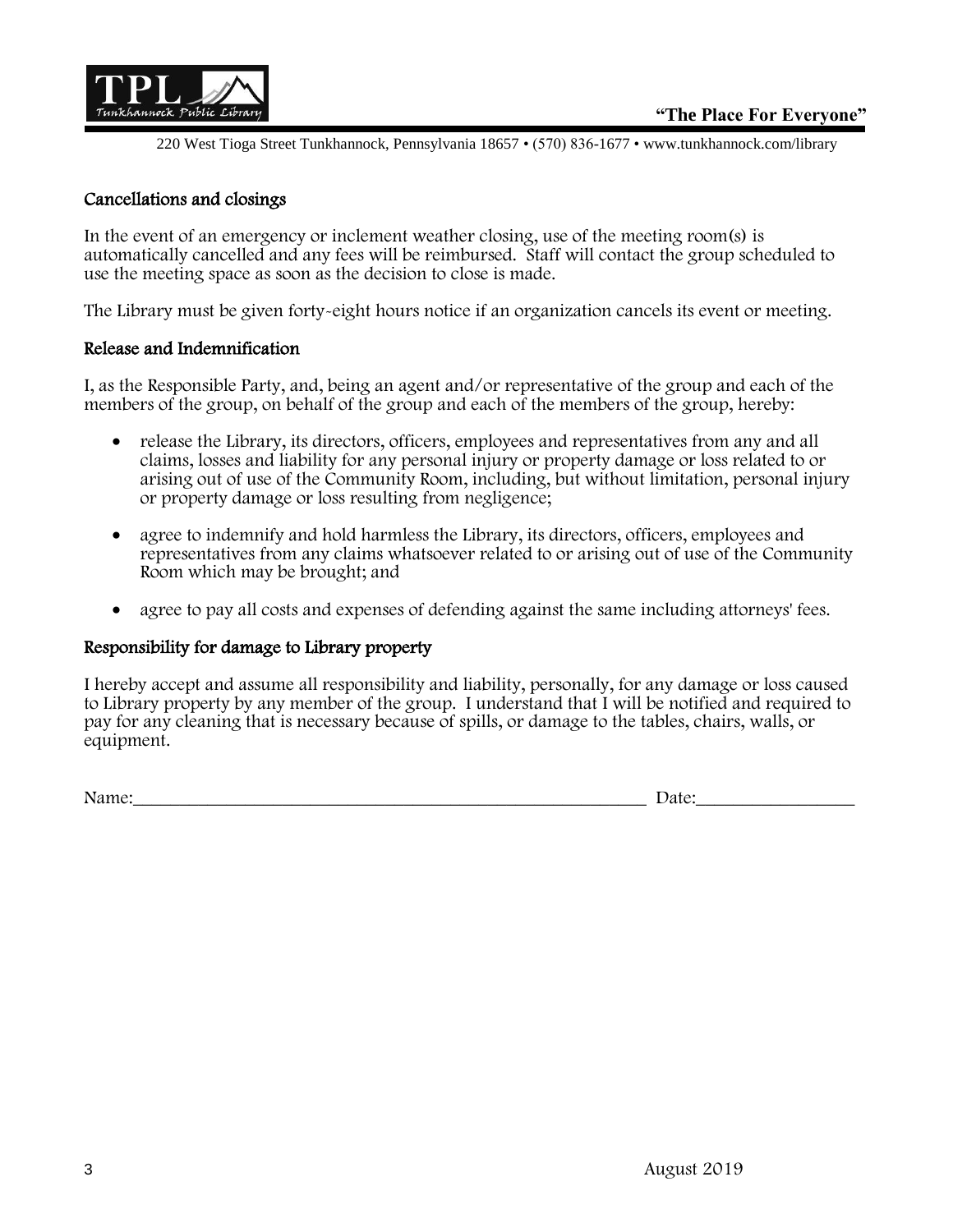

220 West Tioga Street Tunkhannock, Pennsylvania 18657 • (570) 836-1677 • www.tunkhannock.com/library

## Cancellations and closings

In the event of an emergency or inclement weather closing, use of the meeting room(s) is automatically cancelled and any fees will be reimbursed. Staff will contact the group scheduled to use the meeting space as soon as the decision to close is made.

The Library must be given forty-eight hours notice if an organization cancels its event or meeting.

#### Release and Indemnification

I, as the Responsible Party, and, being an agent and/or representative of the group and each of the members of the group, on behalf of the group and each of the members of the group, hereby:

- release the Library, its directors, officers, employees and representatives from any and all claims, losses and liability for any personal injury or property damage or loss related to or arising out of use of the Community Room, including, but without limitation, personal injury or property damage or loss resulting from negligence;
- agree to indemnify and hold harmless the Library, its directors, officers, employees and representatives from any claims whatsoever related to or arising out of use of the Community Room which may be brought; and
- agree to pay all costs and expenses of defending against the same including attorneys' fees.

### Responsibility for damage to Library property

I hereby accept and assume all responsibility and liability, personally, for any damage or loss caused to Library property by any member of the group. I understand that I will be notified and required to pay for any cleaning that is necessary because of spills, or damage to the tables, chairs, walls, or equipment.

Name: The contract of the contract of the contract of the contract of the contract of the contract of the contract of the contract of the contract of the contract of the contract of the contract of the contract of the cont